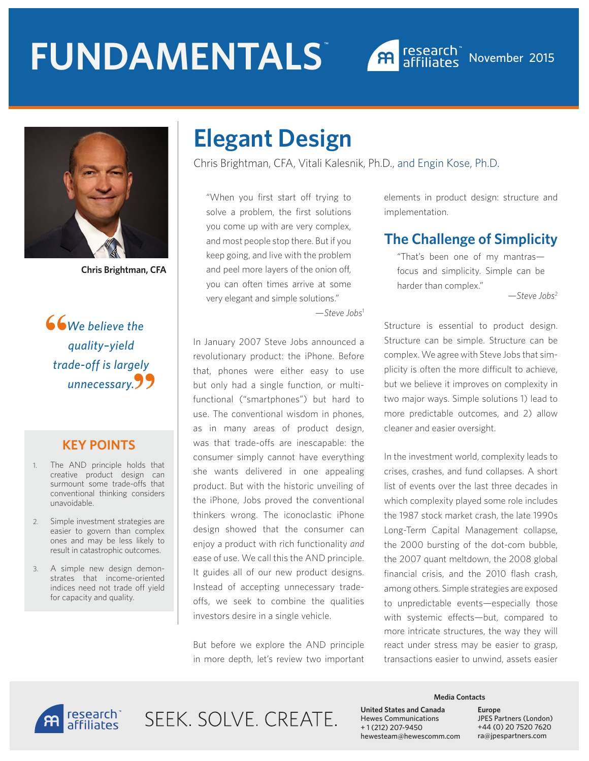



**Chris Brightman, CFA**

**We believe the** *quality–yield trade-off is largely unnecessary.* **""**

#### **KEY POINTS**

- 1. The AND principle holds that creative product design can surmount some trade-offs that conventional thinking considers unavoidable.
- 2. Simple investment strategies are easier to govern than complex ones and may be less likely to result in catastrophic outcomes.
- 3. A simple new design demonstrates that income-oriented indices need not trade off yield for capacity and quality.

# **Elegant Design**

Chris Brightman, CFA, Vitali Kalesnik, Ph.D., and Engin Kose, Ph.D.

"When you first start off trying to solve a problem, the first solutions you come up with are very complex, and most people stop there. But if you keep going, and live with the problem and peel more layers of the onion off, you can often times arrive at some very elegant and simple solutions."

—*Steve Jobs*<sup>1</sup>

In January 2007 Steve Jobs announced a revolutionary product: the iPhone. Before that, phones were either easy to use but only had a single function, or multifunctional ("smartphones") but hard to use. The conventional wisdom in phones, as in many areas of product design, was that trade-offs are inescapable: the consumer simply cannot have everything she wants delivered in one appealing product. But with the historic unveiling of the iPhone, Jobs proved the conventional thinkers wrong. The iconoclastic iPhone design showed that the consumer can enjoy a product with rich functionality *and* ease of use. We call this the AND principle. It guides all of our new product designs. Instead of accepting unnecessary tradeoffs, we seek to combine the qualities investors desire in a single vehicle.

But before we explore the AND principle in more depth, let's review two important elements in product design: structure and implementation.

#### **The Challenge of Simplicity**

"That's been one of my mantras focus and simplicity. Simple can be harder than complex."

—*Steve Jobs*<sup>2</sup>

Structure is essential to product design. Structure can be simple. Structure can be complex. We agree with Steve Jobs that simplicity is often the more difficult to achieve, but we believe it improves on complexity in two major ways. Simple solutions 1) lead to more predictable outcomes, and 2) allow cleaner and easier oversight.

In the investment world, complexity leads to crises, crashes, and fund collapses. A short list of events over the last three decades in which complexity played some role includes the 1987 stock market crash, the late 1990s Long-Term Capital Management collapse, the 2000 bursting of the dot-com bubble, the 2007 quant meltdown, the 2008 global financial crisis, and the 2010 flash crash, among others. Simple strategies are exposed to unpredictable events—especially those with systemic effects—but, compared to more intricate structures, the way they will react under stress may be easier to grasp, transactions easier to unwind, assets easier



SFFK SOLVE CREATE.

#### **Media Contacts**

**United States and Canada**  Hewes Communications + 1 (212) 207-9450 hewesteam@hewescomm.com **Europe** JPES Partners (London) +44 (0) 20 7520 7620 ra@jpespartners.com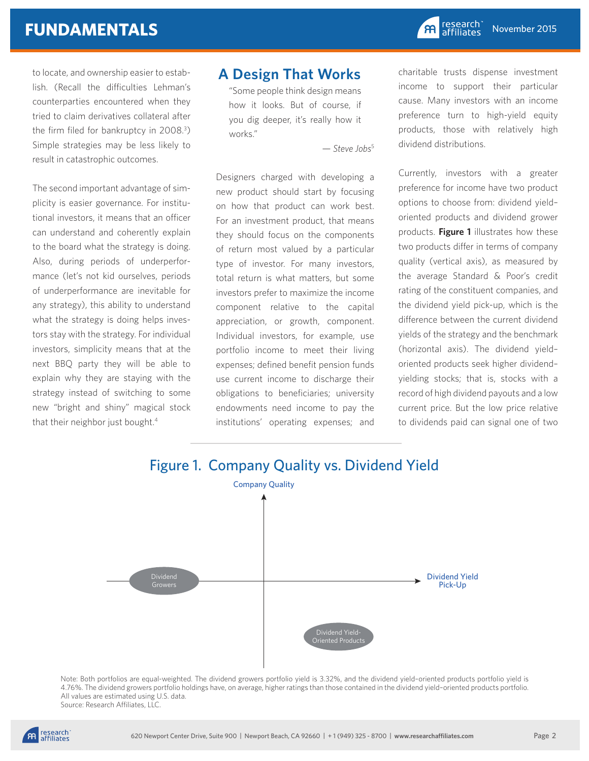to locate, and ownership easier to establish. (Recall the difficulties Lehman's counterparties encountered when they tried to claim derivatives collateral after the firm filed for bankruptcy in 2008.3 ) Simple strategies may be less likely to result in catastrophic outcomes.

The second important advantage of simplicity is easier governance. For institutional investors, it means that an officer can understand and coherently explain to the board what the strategy is doing. Also, during periods of underperformance (let's not kid ourselves, periods of underperformance are inevitable for any strategy), this ability to understand what the strategy is doing helps investors stay with the strategy. For individual investors, simplicity means that at the next BBQ party they will be able to explain why they are staying with the strategy instead of switching to some new "bright and shiny" magical stock that their neighbor just bought.4

#### **A Design That Works**

"Some people think design means how it looks. But of course, if you dig deeper, it's really how it works."

— *Steve Jobs*<sup>5</sup>

Designers charged with developing a new product should start by focusing on how that product can work best. For an investment product, that means they should focus on the components of return most valued by a particular type of investor. For many investors, total return is what matters, but some investors prefer to maximize the income component relative to the capital appreciation, or growth, component. Individual investors, for example, use portfolio income to meet their living expenses; defined benefit pension funds use current income to discharge their obligations to beneficiaries; university endowments need income to pay the institutions' operating expenses; and charitable trusts dispense investment income to support their particular cause. Many investors with an income preference turn to high-yield equity products, those with relatively high dividend distributions.

Currently, investors with a greater preference for income have two product options to choose from: dividend yield– oriented products and dividend grower products. **Figure 1** illustrates how these two products differ in terms of company quality (vertical axis), as measured by the average Standard & Poor's credit rating of the constituent companies, and the dividend yield pick-up, which is the difference between the current dividend yields of the strategy and the benchmark (horizontal axis). The dividend yield– oriented products seek higher dividend– yielding stocks; that is, stocks with a record of high dividend payouts and a low current price. But the low price relative to dividends paid can signal one of two



Note: Both portfolios are equal-weighted. The dividend growers portfolio yield is 3.32%, and the dividend yield–oriented products portfolio yield is 4.76%. The dividend growers portfolio holdings have, on average, higher ratings than those contained in the dividend yield–oriented products portfolio. All values are estimated using U.S. data. Source: Research Affiliates, LLC.

research<br>affiliates **P**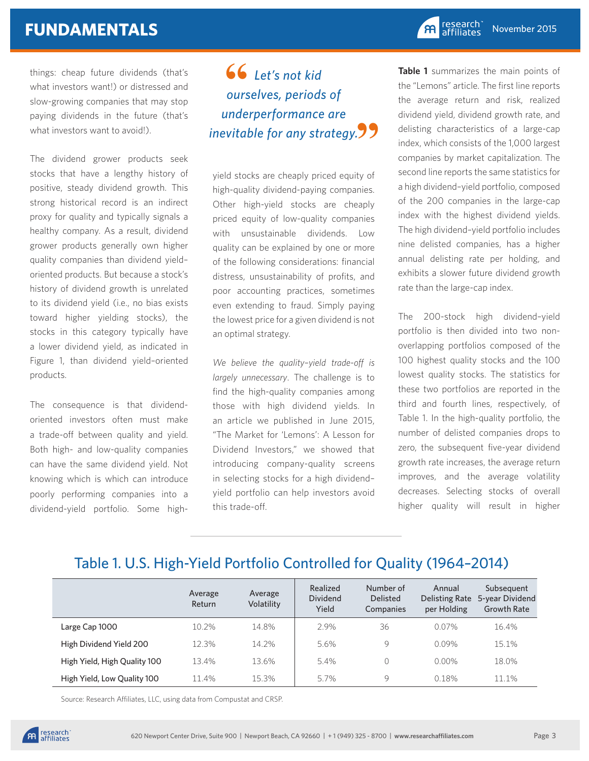things: cheap future dividends (that's what investors want!) or distressed and slow-growing companies that may stop paying dividends in the future (that's what investors want to avoid!).

The dividend grower products seek stocks that have a lengthy history of positive, steady dividend growth. This strong historical record is an indirect proxy for quality and typically signals a healthy company. As a result, dividend grower products generally own higher quality companies than dividend yield– oriented products. But because a stock's history of dividend growth is unrelated to its dividend yield (i.e., no bias exists toward higher yielding stocks), the stocks in this category typically have a lower dividend yield, as indicated in Figure 1, than dividend yield–oriented products.

The consequence is that dividendoriented investors often must make a trade-off between quality and yield. Both high- and low-quality companies can have the same dividend yield. Not knowing which is which can introduce poorly performing companies into a dividend-yield portfolio. Some high-

#### *Let's not kid ourselves, periods of underperformance are inevitable for any strategy.* **"** $66$  ours

yield stocks are cheaply priced equity of high-quality dividend-paying companies. Other high-yield stocks are cheaply priced equity of low-quality companies with unsustainable dividends. Low quality can be explained by one or more of the following considerations: financial distress, unsustainability of profits, and poor accounting practices, sometimes even extending to fraud. Simply paying the lowest price for a given dividend is not an optimal strategy.

*We believe the quality–yield trade-off is largely unnecessary*. The challenge is to find the high-quality companies among those with high dividend yields. In an article we published in June 2015, "The Market for 'Lemons': A Lesson for Dividend Investors," we showed that introducing company-quality screens in selecting stocks for a high dividend– yield portfolio can help investors avoid this trade-off.

**Table 1** summarizes the main points of the "Lemons" article. The first line reports the average return and risk, realized dividend yield, dividend growth rate, and delisting characteristics of a large-cap index, which consists of the 1,000 largest companies by market capitalization. The second line reports the same statistics for a high dividend–yield portfolio, composed of the 200 companies in the large-cap index with the highest dividend yields. The high dividend–yield portfolio includes nine delisted companies, has a higher annual delisting rate per holding, and exhibits a slower future dividend growth rate than the large-cap index.

The 200-stock high dividend–yield portfolio is then divided into two nonoverlapping portfolios composed of the 100 highest quality stocks and the 100 lowest quality stocks. The statistics for these two portfolios are reported in the third and fourth lines, respectively, of Table 1. In the high-quality portfolio, the number of delisted companies drops to zero, the subsequent five-year dividend growth rate increases, the average return improves, and the average volatility decreases. Selecting stocks of overall higher quality will result in higher

## Table 1. U.S. High-Yield Portfolio Controlled for Quality (1964–2014)

|                              | Average<br>Return | Average<br>Volatility | Realized<br><b>Dividend</b><br>Yield | Number of<br><b>Delisted</b><br>Companies | Annual<br>per Holding | Subsequent<br>Delisting Rate 5-year Dividend<br><b>Growth Rate</b> |
|------------------------------|-------------------|-----------------------|--------------------------------------|-------------------------------------------|-----------------------|--------------------------------------------------------------------|
| Large Cap 1000               | 10.2%             | 14.8%                 | 2.9%                                 | 36                                        | $0.07\%$              | 16.4%                                                              |
| High Dividend Yield 200      | 12.3%             | 14.2%                 | 5.6%                                 | 9                                         | 0.09%                 | 15.1%                                                              |
| High Yield, High Quality 100 | 13.4%             | 13.6%                 | 5.4%                                 |                                           | $0.00\%$              | 18.0%                                                              |
| High Yield, Low Quality 100  | 11.4%             | 15.3%                 | 5.7%                                 | 9                                         | 0.18%                 | 11.1%                                                              |

Source: Research Affiliates, LLC, using data from Compustat and CRSP.

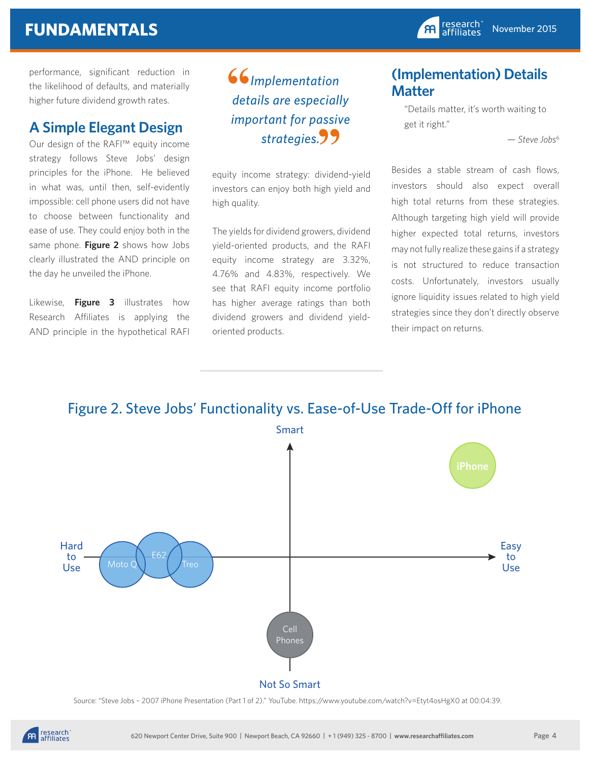performance, significant reduction in the likelihood of defaults, and materially higher future dividend growth rates.

#### **A Simple Elegant Design**

Our design of the RAFI™ equity income strategy follows Steve Jobs' design principles for the iPhone. He believed in what was, until then, self-evidently impossible: cell phone users did not have to choose between functionality and ease of use. They could enjoy both in the same phone. **Figure 2** shows how Jobs clearly illustrated the AND principle on the day he unveiled the iPhone.

Likewise, **Figure 3** illustrates how Research Affiliates is applying the AND principle in the hypothetical RAFI

 *Implementation details are especially important for passive*  strategies.99 **66**<br>det

equity income strategy: dividend-yield investors can enjoy both high yield and high quality.

The yields for dividend growers, dividend yield-oriented products, and the RAFI equity income strategy are 3.32%, 4.76% and 4.83%, respectively. We see that RAFI equity income portfolio has higher average ratings than both dividend growers and dividend yieldoriented products.

#### **(Implementation) Details Matter**

"Details matter, it's worth waiting to get it right."

— *Steve Jobs*<sup>6</sup>

Besides a stable stream of cash flows, investors should also expect overall high total returns from these strategies. Although targeting high yield will provide higher expected total returns, investors may not fully realize these gains if a strategy is not structured to reduce transaction costs. Unfortunately, investors usually ignore liquidity issues related to high yield strategies since they don't directly observe their impact on returns.

#### Figure 2. Steve Jobs' Functionality vs. Ease-of-Use Trade-Off for iPhone



Source: "Steve Jobs – 2007 iPhone Presentation (Part 1 of 2)." YouTube. https://www.youtube.com/watch?v=Etyt4osHgX0 at 00:04:39.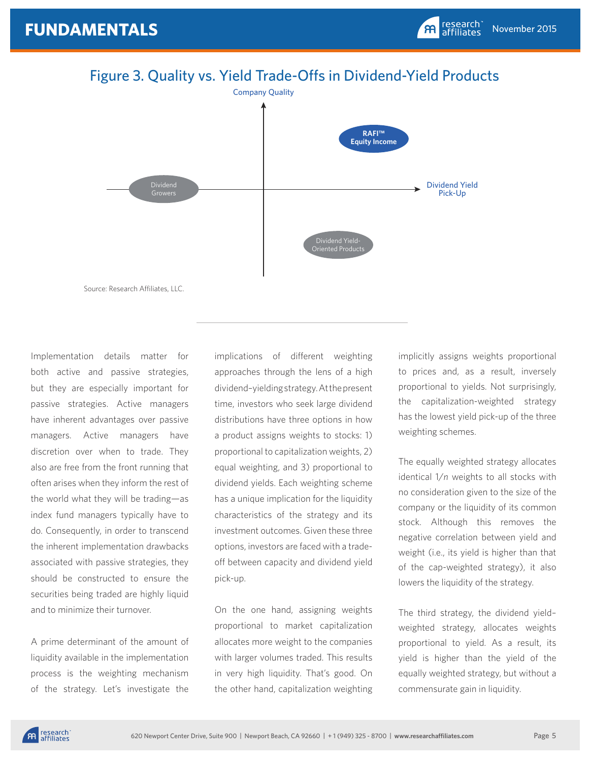

Implementation details matter for both active and passive strategies, but they are especially important for passive strategies. Active managers have inherent advantages over passive managers. Active managers have discretion over when to trade. They also are free from the front running that often arises when they inform the rest of the world what they will be trading—as index fund managers typically have to do. Consequently, in order to transcend the inherent implementation drawbacks associated with passive strategies, they should be constructed to ensure the securities being traded are highly liquid and to minimize their turnover.

A prime determinant of the amount of liquidity available in the implementation process is the weighting mechanism of the strategy. Let's investigate the implications of different weighting approaches through the lens of a high dividend–yielding strategy. At the present time, investors who seek large dividend distributions have three options in how a product assigns weights to stocks: 1) proportional to capitalization weights, 2) equal weighting, and 3) proportional to dividend yields. Each weighting scheme has a unique implication for the liquidity characteristics of the strategy and its investment outcomes. Given these three options, investors are faced with a tradeoff between capacity and dividend yield pick-up.

On the one hand, assigning weights proportional to market capitalization allocates more weight to the companies with larger volumes traded. This results in very high liquidity. That's good. On the other hand, capitalization weighting implicitly assigns weights proportional to prices and, as a result, inversely proportional to yields. Not surprisingly, the capitalization-weighted strategy has the lowest yield pick-up of the three weighting schemes.

The equally weighted strategy allocates identical 1/*n* weights to all stocks with no consideration given to the size of the company or the liquidity of its common stock. Although this removes the negative correlation between yield and weight (i.e., its yield is higher than that of the cap-weighted strategy), it also lowers the liquidity of the strategy.

The third strategy, the dividend yield– weighted strategy, allocates weights proportional to yield. As a result, its yield is higher than the yield of the equally weighted strategy, but without a commensurate gain in liquidity.

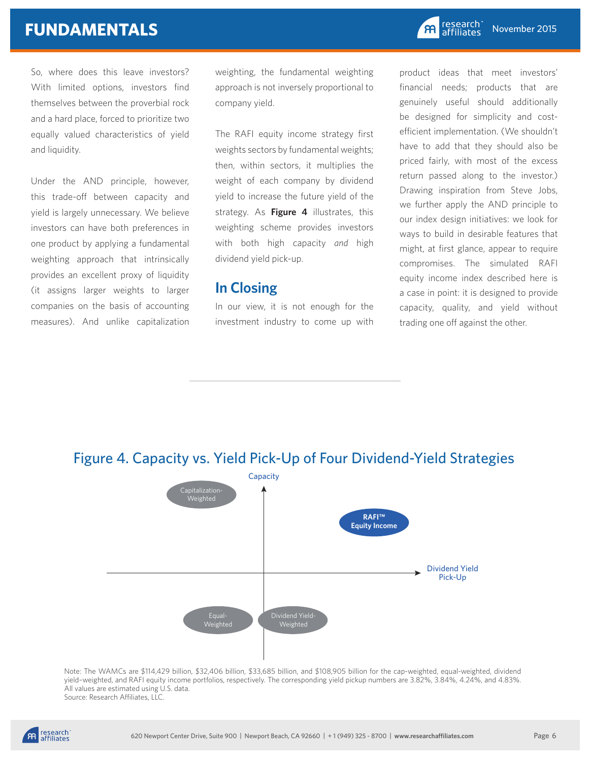So, where does this leave investors? With limited options, investors find themselves between the proverbial rock and a hard place, forced to prioritize two equally valued characteristics of yield and liquidity.

Under the AND principle, however, this trade-off between capacity and yield is largely unnecessary. We believe investors can have both preferences in one product by applying a fundamental weighting approach that intrinsically provides an excellent proxy of liquidity (it assigns larger weights to larger companies on the basis of accounting measures). And unlike capitalization weighting, the fundamental weighting approach is not inversely proportional to company yield.

The RAFI equity income strategy first weights sectors by fundamental weights; then, within sectors, it multiplies the weight of each company by dividend yield to increase the future yield of the strategy. As **Figure 4** illustrates, this weighting scheme provides investors with both high capacity *and* high dividend yield pick-up.

#### **In Closing**

In our view, it is not enough for the investment industry to come up with

product ideas that meet investors' financial needs; products that are genuinely useful should additionally be designed for simplicity and costefficient implementation. (We shouldn't have to add that they should also be priced fairly, with most of the excess return passed along to the investor.) Drawing inspiration from Steve Jobs, we further apply the AND principle to our index design initiatives: we look for ways to build in desirable features that might, at first glance, appear to require compromises. The simulated RAFI equity income index described here is a case in point: it is designed to provide capacity, quality, and yield without trading one off against the other.



Note: The WAMCs are \$114,429 billion, \$32,406 billion, \$33,685 billion, and \$108,905 billion for the cap-weighted, equal-weighted, dividend yield–weighted, and RAFI equity income portfolios, respectively. The corresponding yield pickup numbers are 3.82%, 3.84%, 4.24%, and 4.83%. All values are estimated using U.S. data. Source: Research Affiliates, LLC.

#### Figure 4. Capacity vs. Yield Pick-Up of Four Dividend-Yield Strategies